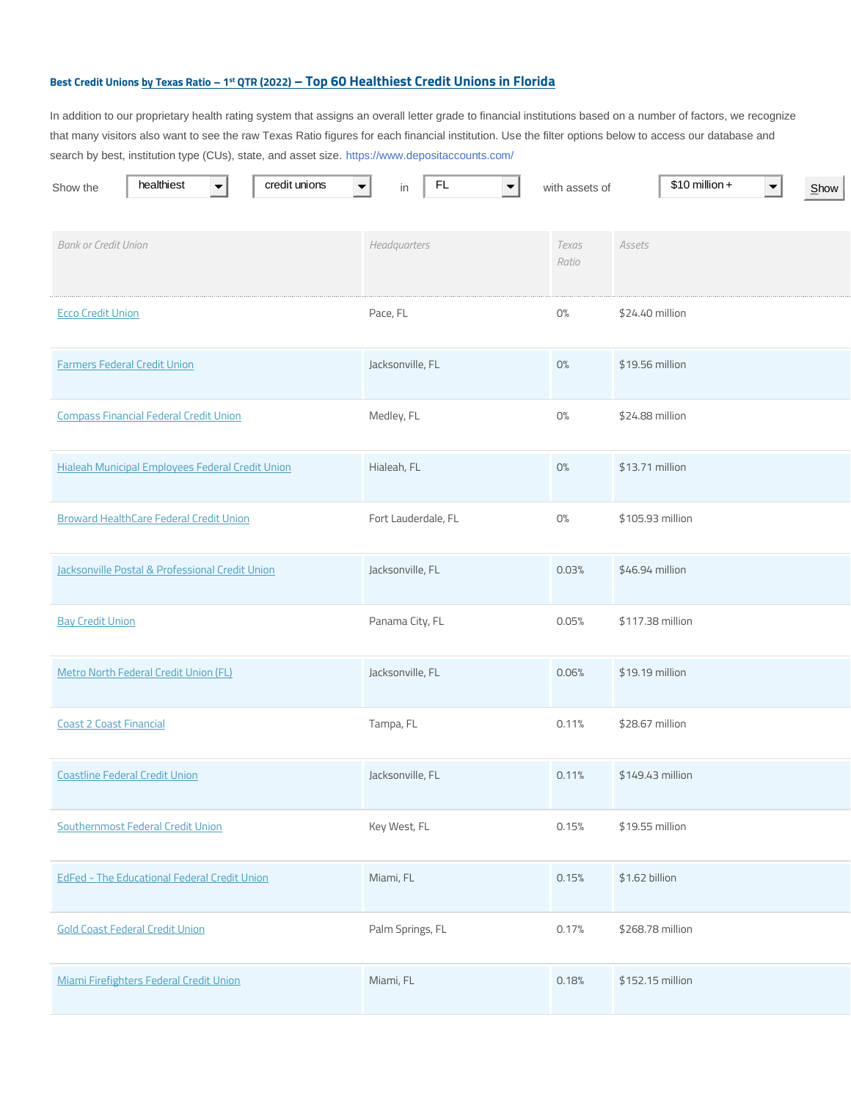## **Best Credit Unions by Texas Ratio – 1 st QTR (2022) – Top 60 Healthiest Credit Unions in Florida**

In addition to our proprietary health rating system that assigns an overall letter grade to financial institutions based on a number of factors, we recognize that many visitors also want to see the raw Texas Ratio figures for each financial institution. Use the filter options below to access our database and search by best, institution type (CUs), state, and asset size. https://www.depositaccounts.com/

| healthiest<br>credit unions<br>Show the             | FL<br>in            | with assets of | $$10$ million +<br>$S$ <sub>how</sub> |
|-----------------------------------------------------|---------------------|----------------|---------------------------------------|
|                                                     |                     |                |                                       |
| <b>Bank or Credit Union</b>                         | Headquarters        | Texas<br>Ratio | Assets                                |
| <b>Ecco Credit Union</b>                            | Pace, FL            | O%             | \$24.40 million                       |
| <b>Farmers Federal Credit Union</b>                 | Jacksonville, FL    | O%             | \$19.56 million                       |
| <b>Compass Financial Federal Credit Union</b>       | Medley, FL          | $\rm O\%$      | \$24.88 million                       |
| Hialeah Municipal Employees Federal Credit Union    | Hialeah, FL         | O%             | \$13.71 million                       |
| <b>Broward HealthCare Federal Credit Union</b>      | Fort Lauderdale, FL | O%             | \$105.93 million                      |
| Jacksonville Postal & Professional Credit Union     | Jacksonville, FL    | 0.03%          | \$46.94 million                       |
| <b>Bay Credit Union</b>                             | Panama City, FL     | 0.05%          | \$117.38 million                      |
| Metro North Federal Credit Union (FL)               | Jacksonville, FL    | 0.06%          | \$19.19 million                       |
| <b>Coast 2 Coast Financial</b>                      | Tampa, FL           | 0.11%          | \$28.67 million                       |
| <b>Coastline Federal Credit Union</b>               | Jacksonville, FL    | 0.11%          | \$149.43 million                      |
| Southernmost Federal Credit Union                   | Key West, FL        | 0.15%          | \$19.55 million                       |
| <b>EdFed - The Educational Federal Credit Union</b> | Miami, FL           | 0.15%          | \$1.62 billion                        |
| <b>Gold Coast Federal Credit Union</b>              | Palm Springs, FL    | 0.17%          | \$268.78 million                      |
| Miami Firefighters Federal Credit Union             | Miami, FL           | 0.18%          | \$152.15 million                      |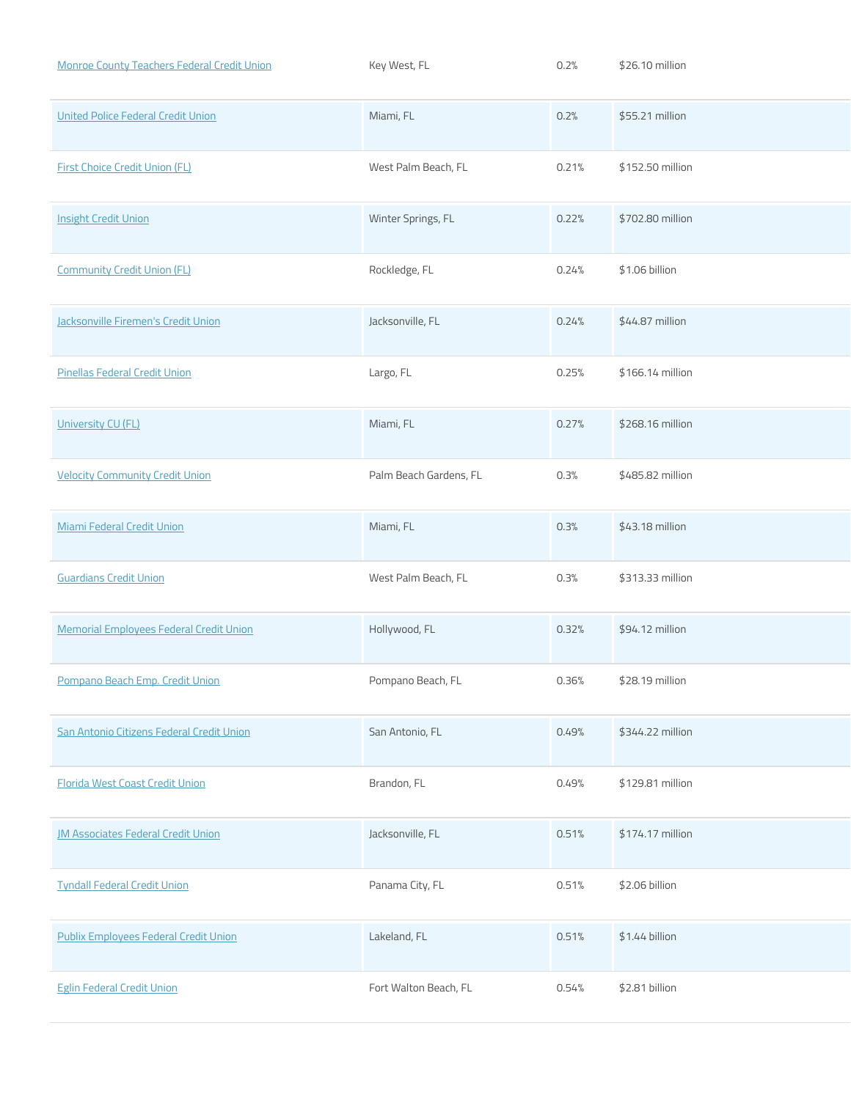| <b>Monroe County Teachers Federal Credit Union</b> | Key West, FL           | 0.2%  | \$26.10 million  |
|----------------------------------------------------|------------------------|-------|------------------|
| United Police Federal Credit Union                 | Miami, FL              | 0.2%  | \$55.21 million  |
| <b>First Choice Credit Union (FL)</b>              | West Palm Beach, FL    | 0.21% | \$152.50 million |
| <b>Insight Credit Union</b>                        | Winter Springs, FL     | 0.22% | \$702.80 million |
| <b>Community Credit Union (FL)</b>                 | Rockledge, FL          | 0.24% | \$1.06 billion   |
| Jacksonville Firemen's Credit Union                | Jacksonville, FL       | 0.24% | \$44.87 million  |
| <b>Pinellas Federal Credit Union</b>               | Largo, FL              | 0.25% | \$166.14 million |
| University CU (FL)                                 | Miami, FL              | 0.27% | \$268.16 million |
| <b>Velocity Community Credit Union</b>             | Palm Beach Gardens, FL | 0.3%  | \$485.82 million |
| Miami Federal Credit Union                         | Miami, FL              | 0.3%  | \$43.18 million  |
| <b>Guardians Credit Union</b>                      | West Palm Beach, FL    | 0.3%  | \$313.33 million |
| <b>Memorial Employees Federal Credit Union</b>     | Hollywood, FL          | 0.32% | \$94.12 million  |
| Pompano Beach Emp. Credit Union                    | Pompano Beach, FL      | 0.36% | \$28.19 million  |
| San Antonio Citizens Federal Credit Union          | San Antonio, FL        | 0.49% | \$344.22 million |
| Florida West Coast Credit Union                    | Brandon, FL            | 0.49% | \$129.81 million |
| <b>JM Associates Federal Credit Union</b>          | Jacksonville, FL       | 0.51% | \$174.17 million |
| <b>Tyndall Federal Credit Union</b>                | Panama City, FL        | 0.51% | \$2.06 billion   |
| <b>Publix Employees Federal Credit Union</b>       | Lakeland, FL           | 0.51% | $$1.44$ billion  |
| <b>Eglin Federal Credit Union</b>                  | Fort Walton Beach, FL  | 0.54% | \$2.81 billion   |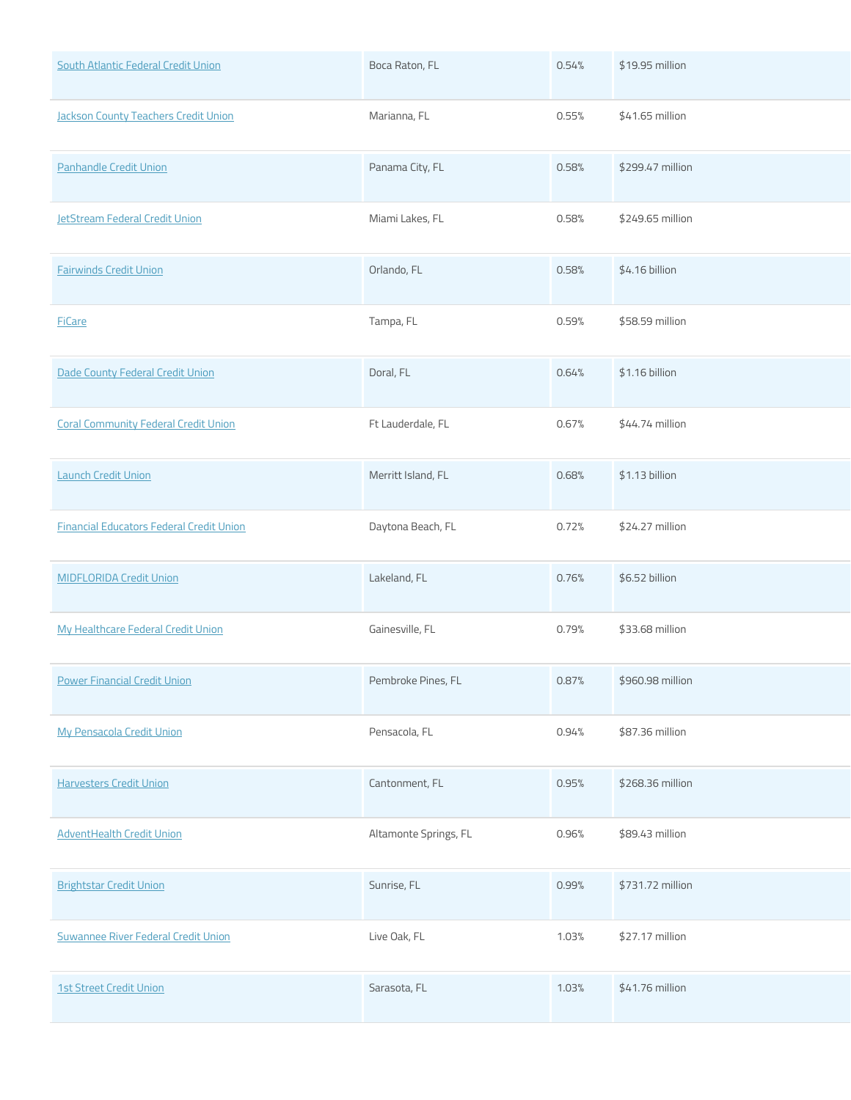| South Atlantic Federal Credit Union             | Boca Raton, FL        | 0.54% | \$19.95 million  |
|-------------------------------------------------|-----------------------|-------|------------------|
| <b>Jackson County Teachers Credit Union</b>     | Marianna, FL          | 0.55% | \$41.65 million  |
| Panhandle Credit Union                          | Panama City, FL       | 0.58% | \$299.47 million |
| <b>JetStream Federal Credit Union</b>           | Miami Lakes, FL       | 0.58% | \$249.65 million |
| <b>Fairwinds Credit Union</b>                   | Orlando, FL           | 0.58% | \$4.16 billion   |
| <b>FiCare</b>                                   | Tampa, FL             | 0.59% | \$58.59 million  |
| Dade County Federal Credit Union                | Doral, FL             | 0.64% | \$1.16 billion   |
| <b>Coral Community Federal Credit Union</b>     | Ft Lauderdale, FL     | 0.67% | \$44.74 million  |
| <b>Launch Credit Union</b>                      | Merritt Island, FL    | 0.68% | \$1.13 billion   |
| <b>Financial Educators Federal Credit Union</b> | Daytona Beach, FL     | 0.72% | \$24.27 million  |
| <b>MIDFLORIDA Credit Union</b>                  | Lakeland, FL          | 0.76% | \$6.52 billion   |
| My Healthcare Federal Credit Union              | Gainesville, FL       | 0.79% | \$33.68 million  |
| <b>Power Financial Credit Union</b>             | Pembroke Pines, FL    | 0.87% | \$960.98 million |
| <b>My Pensacola Credit Union</b>                | Pensacola, FL         | 0.94% | \$87.36 million  |
| <b>Harvesters Credit Union</b>                  | Cantonment, FL        | 0.95% | \$268.36 million |
| <b>AdventHealth Credit Union</b>                | Altamonte Springs, FL | 0.96% | \$89.43 million  |
| <b>Brightstar Credit Union</b>                  | Sunrise, FL           | 0.99% | \$731.72 million |
| Suwannee River Federal Credit Union             | Live Oak, FL          | 1.03% | \$27.17 million  |
| <b>1st Street Credit Union</b>                  | Sarasota, FL          | 1.03% | \$41.76 million  |